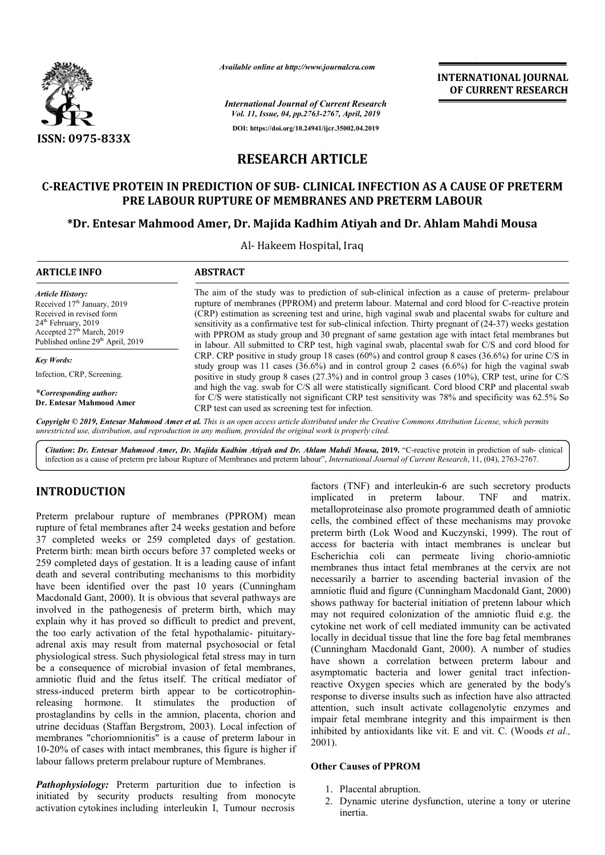

*Available online at http://www.journalcra.com*

**INTERNATIONAL JOURNAL OF CURRENT RESEARCH**

*International Journal of Current Research Vol. 11, Issue, 04, pp.2763-2767, April, 2019* **DOI: https://doi.org/10.24941/ijcr.35002.04.2019**

# **RESEARCH ARTICLE**

# **C-REACTIVE PROTEIN IN PREDICTION OF SUB- CLINICAL INFECTION AS A CAUSE OF PRETERM PRE LABOUR RUPTURE OF MEMBRANES AND PRETERM LABOUR** ACTIVE PROTEIN IN PREDICTION OF SUB- CLINICAL INFECTION AS A CAUSE OF PRET.<br>PRE LABOUR RUPTURE OF MEMBRANES AND PRETERM LABOUR<br>Dr. Entesar Mahmood Amer, Dr. Majida Kadhim Atiyah and Dr. Ahlam Mahdi Mousa\*

Al- Hakeem Hospital, Iraq

| <b>ARTICLE INFO</b>                                                                                                                                                                                               | <b>ABSTRACT</b>                                                                                                                                                                                                                                                                                                                                                                                                                                                                                                                                                                                                                     |
|-------------------------------------------------------------------------------------------------------------------------------------------------------------------------------------------------------------------|-------------------------------------------------------------------------------------------------------------------------------------------------------------------------------------------------------------------------------------------------------------------------------------------------------------------------------------------------------------------------------------------------------------------------------------------------------------------------------------------------------------------------------------------------------------------------------------------------------------------------------------|
| <b>Article History:</b><br>Received 17 <sup>th</sup> January, 2019<br>Received in revised form<br>24 <sup>th</sup> February, 2019<br>Accepted $27th$ March, 2019<br>Published online 29 <sup>th</sup> April, 2019 | The aim of the study was to prediction of sub-clinical infection as a cause of preterm- prelabour<br>rupture of membranes (PPROM) and preterm labour. Maternal and cord blood for C-reactive protein<br>(CRP) estimation as screening test and urine, high vaginal swab and placental swabs for culture and<br>sensitivity as a confirmative test for sub-clinical infection. Thirty pregnant of $(24-37)$ weeks gestation<br>with PPROM as study group and 30 pregnant of same gestation age with intact fetal membranes but<br>in labour. All submitted to CRP test, high vaginal swab, placental swab for C/S and cord blood for |
| <b>Key Words:</b>                                                                                                                                                                                                 | CRP. CRP positive in study group 18 cases (60%) and control group 8 cases (36.6%) for urine C/S in                                                                                                                                                                                                                                                                                                                                                                                                                                                                                                                                  |
| Infection, CRP, Screening.                                                                                                                                                                                        | study group was 11 cases (36.6%) and in control group 2 cases (6.6%) for high the vaginal swab<br>positive in study group 8 cases (27.3%) and in control group 3 cases (10%), CRP test, urine for C/S                                                                                                                                                                                                                                                                                                                                                                                                                               |
| <i>*Corresponding author:</i><br>Dr. Entesar Mahmood Amer                                                                                                                                                         | and high the vag. swab for C/S all were statistically significant. Cord blood CRP and placental swab<br>for C/S were statistically not significant CRP test sensitivity was 78% and specificity was 62.5% So<br>CRP test can used as screening test for infection.                                                                                                                                                                                                                                                                                                                                                                  |

Copyright © 2019, Entesar Mahmood Amer et al. This is an open access article distributed under the Creative Commons Attribution License, which permits *unrestricted use, distribution, and reproduction in any medium, provided the original work is properly cited.*

Citation: Dr. Entesar Mahmood Amer, Dr. Majida Kadhim Atiyah and Dr. Ahlam Mahdi Mousa, 2019. "C-reactive protein in prediction of sub-clinical infection as a cause of preterm pre labour Rupture of Membranes and preterm labour", *International Journal of Current Research*, 11, (04), 2763-2767.

# **INTRODUCTION**

Preterm prelabour rupture of membranes (PPROM) mean rupture of fetal membranes after 24 weeks gestation and before 37 completed weeks or 259 completed days of gestation. Preterm birth: mean birth occurs before 37 completed weeks or 259 completed days of gestation. It is a leading cause of infant death and several contributing mechanisms to this morbidity have been identified over the past 10 years (Cunningham Macdonald Gant, 2000). It is obvious that several pathways are involved in the pathogenesis of preterm birth, which may explain why it has proved so difficult to predict and prevent, the too early activation of the fetal hypothalamic- pituitaryadrenal axis may result from maternal psychosocial or fetal physiological stress. Such physiological fetal stress may in turn be a consequence of microbial invasion of fetal membranes, amniotic fluid and the fetus itself. The critical mediator of amniotic fluid and the fetus itself. The critical mediator of stress-induced preterm birth appear to be corticotrophinreleasing hormone. It stimulates the production of prostaglandins by cells in the amnion, placenta, chorion and utrine deciduas (Staffan Bergstrom, 2003). ). Local infection of membranes "choriomnionitis" is a cause of preterm labour in 10-20% of cases with intact membranes, this figure is higher if labour fallows preterm prelabour rupture of Membranes.

*Pathophysiology:* Preterm parturition due to infection is initiated by security products resulting from monocyte activation cytokines including interleukin I, choriomnionitis" is a cause of preterm labour in<br>ses with intact membranes, this figure is higher if<br>s preterm prelabour rupture of Membranes.<br>*ogy*: Preterm parturition due to infection is<br>security products resulting from

factors (TNF) and interleukin-6 are such secretory products implicated in preterm labour. TNF and matrix. metalloproteinase also promote programmed death of amniotic cells, the combined effect of these mechanisms may provoke preterm birth (Lok Wood and Kuczynski, 1999). The rout of access for bacteria with intact membranes is unclear but access for bacteria with intact membranes is unclear but<br>Escherichia coli can permeate living chorio-amniotic membranes thus intact fetal membranes at the cervix are not membranes thus intact fetal membranes at the cervix are not necessarily a barrier to ascending bacterial invasion of the amniotic fluid and figure (Cunningham Macdonald Gant, 2000) shows pathway for bacterial initiation of pretenn labour which may not required colonization of the amniotic fluid e.g. the cytokine net work of cell mediated immunity can be activa locally in decidual tissue that line the fore bag fetal membranes locally in decidual tissue that line the fore bag fetal membranes (Cunningham Macdonald Gant, 2000). A number of studies have shown a correlation between preterm labour and have shown a correlation between preterm labour and asymptomatic bacteria and lower genital tract infectionreactive Oxygen species which are generated by the body's response to diverse insults such as infection have also attracted attention, such insult activate collagenolytic enzymes and impair fetal membrane integrity and this impairment is then inhibited by antioxidants like vit. E and vit. C. (Woods et al., 2001). so promote programmed death of amniotic<br>effect of these mechanisms may provoke<br>Wood and Kuczynski, 1999). The rout of shows pathway for bacterial initiation of pretenn labour which<br>may not required colonization of the amniotic fluid e.g. the<br>cytokine net work of cell mediated immunity can be activated response to diverse insults such as infection have also attracted attention, such insult activate collagenolytic enzymes and impair fetal membrane integrity and this impairment is then inhibited by antioxidants like vit. E INTERNATIONAL JOURNAL<br>
INTERNATIONAL JOURNAL<br>
And *Agench*<br>
Apple 2012<br>
2012<br>
2012<br>
2012<br>
2012<br> **ICLE**<br> **ICLE**<br> **ICLE**<br> **ICLE**<br> **ICLE**<br> **ICLE**<br> **ICLE**<br> **ICLE**<br> **ICLE**<br> **ICLE**<br> **ICLE**<br> **ICLE**<br> **ICLE**<br> **ICLE**<br> **ICLE**<br> **ICLE** 

### **Other Causes of PPROM**

- 1. Placental abruption.
- 2. Dynamic uterine dysfunction, uterine a tony or uterine inertia.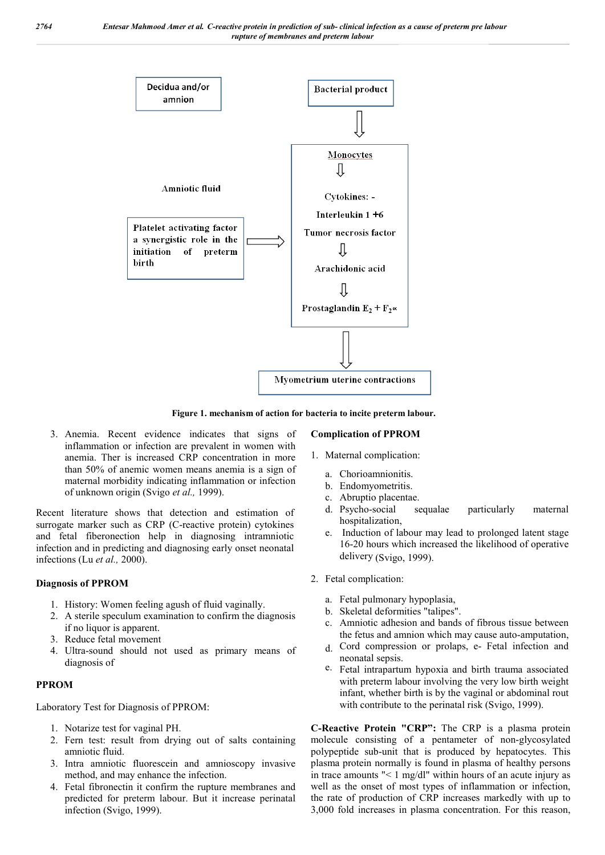

**Figure 1. mechanism of action for bacteria to incite preterm labour.**

3. Anemia. Recent evidence indicates that signs of inflammation or infection are prevalent in women with anemia. Ther is increased CRP concentration in more than 50% of anemic women means anemia is a sign of maternal morbidity indicating inflammation or infection of unknown origin (Svigo *et al.,* 1999).

Recent literature shows that detection and estimation of surrogate marker such as CRP (C-reactive protein) cytokines and fetal fiberonection help in diagnosing intramniotic infection and in predicting and diagnosing early onset neonatal infections (Lu *et al.,* 2000).

### **Diagnosis of PPROM**

- 1. History: Women feeling agush of fluid vaginally.
- 2. A sterile speculum examination to confirm the diagnosis if no liquor is apparent.
- 3. Reduce fetal movement
- 4. Ultra-sound should not used as primary means of diagnosis of

#### **PPROM**

Laboratory Test for Diagnosis of PPROM:

- 1. Notarize test for vaginal PH.
- 2. Fern test: result from drying out of salts containing amniotic fluid.
- 3. Intra amniotic fluorescein and amnioscopy invasive method, and may enhance the infection.
- 4. Fetal fibronectin it confirm the rupture membranes and predicted for preterm labour. But it increase perinatal infection (Svigo, 1999).

#### **Complication of PPROM**

- 1. Maternal complication:
	- a. Chorioamnionitis.
	- b. Endomyometritis.
	- c. Abruptio placentae.
	- d. Psycho-social sequalae particularly maternal hospitalization,
	- e. Induction of labour may lead to prolonged latent stage 16-20 hours which increased the likelihood of operative delivery (Svigo, 1999).
- 2. Fetal complication:
	- a. Fetal pulmonary hypoplasia,
	- b. Skeletal deformities "talipes".
	- c. Amniotic adhesion and bands of fibrous tissue between the fetus and amnion which may cause auto-amputation,
	- d. Cord compression or prolaps, e- Fetal infection and neonatal sepsis.
	- e. Fetal intrapartum hypoxia and birth trauma associated with preterm labour involving the very low birth weight infant, whether birth is by the vaginal or abdominal rout with contribute to the perinatal risk (Svigo, 1999).

**C-Reactive Protein "CRP":** The CRP is a plasma protein molecule consisting of a pentameter of non-glycosylated polypeptide sub-unit that is produced by hepatocytes. This plasma protein normally is found in plasma of healthy persons in trace amounts "< 1 mg/dl" within hours of an acute injury as well as the onset of most types of inflammation or infection, the rate of production of CRP increases markedly with up to 3,000 fold increases in plasma concentration. For this reason,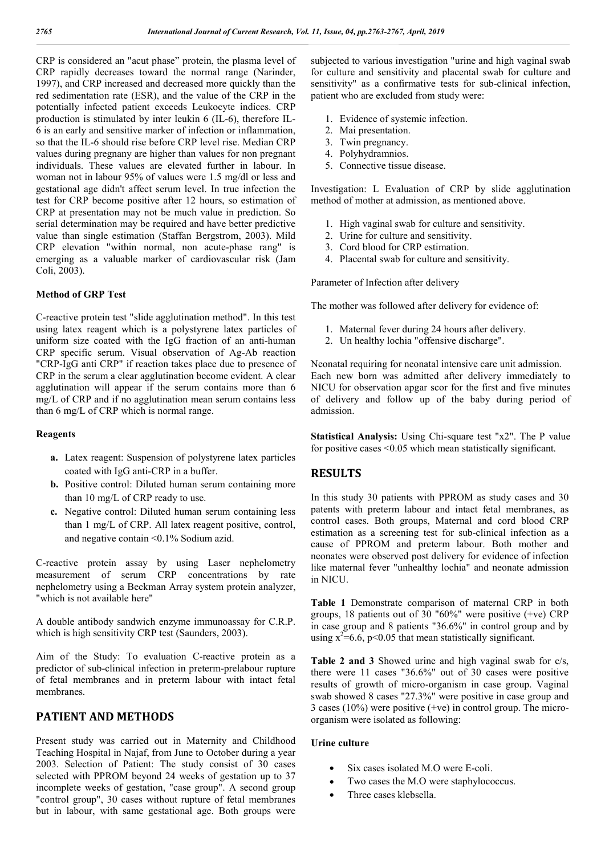CRP is considered an "acut phase" protein, the plasma level of CRP rapidly decreases toward the normal range (Narinder, 1997), and CRP increased and decreased more quickly than the red sedimentation rate (ESR), and the value of the CRP in the potentially infected patient exceeds Leukocyte indices. CRP production is stimulated by inter leukin 6 (IL-6), therefore IL-6 is an early and sensitive marker of infection or inflammation, so that the IL-6 should rise before CRP level rise. Median CRP values during pregnany are higher than values for non pregnant individuals. These values are elevated further in labour. In woman not in labour 95% of values were 1.5 mg/dl or less and gestational age didn't affect serum level. In true infection the test for CRP become positive after 12 hours, so estimation of CRP at presentation may not be much value in prediction. So serial determination may be required and have better predictive value than single estimation (Staffan Bergstrom, 2003). Mild CRP elevation "within normal, non acute-phase rang" is emerging as a valuable marker of cardiovascular risk (Jam Coli, 2003).

#### **Method of GRP Test**

C-reactive protein test "slide agglutination method". In this test using latex reagent which is a polystyrene latex particles of uniform size coated with the IgG fraction of an anti-human CRP specific serum. Visual observation of Ag-Ab reaction "CRP-IgG anti CRP" if reaction takes place due to presence of CRP in the serum a clear agglutination become evident. A clear agglutination will appear if the serum contains more than 6 mg/L of CRP and if no agglutination mean serum contains less than 6 mg/L of CRP which is normal range.

#### **Reagents**

- **a.** Latex reagent: Suspension of polystyrene latex particles coated with IgG anti-CRP in a buffer.
- **b.** Positive control: Diluted human serum containing more than 10 mg/L of CRP ready to use.
- **c.** Negative control: Diluted human serum containing less than 1 mg/L of CRP. All latex reagent positive, control, and negative contain <0.1% Sodium azid.

C-reactive protein assay by using Laser nephelometry measurement of serum CRP concentrations by rate nephelometry using a Beckman Array system protein analyzer, "which is not available here"

A double antibody sandwich enzyme immunoassay for C.R.P. which is high sensitivity CRP test (Saunders, 2003).

Aim of the Study: To evaluation C-reactive protein as a predictor of sub-clinical infection in preterm-prelabour rupture of fetal membranes and in preterm labour with intact fetal membranes.

# **PATIENT AND METHODS**

Present study was carried out in Maternity and Childhood Teaching Hospital in Najaf, from June to October during a year 2003. Selection of Patient: The study consist of 30 cases selected with PPROM beyond 24 weeks of gestation up to 37 incomplete weeks of gestation, "case group". A second group "control group", 30 cases without rupture of fetal membranes but in labour, with same gestational age. Both groups were

subjected to various investigation "urine and high vaginal swab for culture and sensitivity and placental swab for culture and sensitivity" as a confirmative tests for sub-clinical infection, patient who are excluded from study were:

- 1. Evidence of systemic infection.
- 2. Mai presentation.
- 3. Twin pregnancy.
- 4. Polyhydramnios.
- 5. Connective tissue disease.

Investigation: L Evaluation of CRP by slide agglutination method of mother at admission, as mentioned above.

- 1. High vaginal swab for culture and sensitivity.
- 2. Urine for culture and sensitivity.
- 3. Cord blood for CRP estimation.
- 4. Placental swab for culture and sensitivity.

Parameter of Infection after delivery

The mother was followed after delivery for evidence of:

- 1. Maternal fever during 24 hours after delivery.
- 2. Un healthy lochia "offensive discharge".

Neonatal requiring for neonatal intensive care unit admission. Each new born was admitted after delivery immediately to NICU for observation apgar scor for the first and five minutes of delivery and follow up of the baby during period of admission.

**Statistical Analysis:** Using Chi-square test "x2". The P value for positive cases <0.05 which mean statistically significant.

## **RESULTS**

In this study 30 patients with PPROM as study cases and 30 patents with preterm labour and intact fetal membranes, as control cases. Both groups, Maternal and cord blood CRP estimation as a screening test for sub-clinical infection as a cause of PPROM and preterm labour. Both mother and neonates were observed post delivery for evidence of infection like maternal fever "unhealthy lochia" and neonate admission in NICU.

**Table 1** Demonstrate comparison of maternal CRP in both groups, 18 patients out of 30 "60%" were positive (+ve) CRP in case group and 8 patients "36.6%" in control group and by using  $x^2=6.6$ , p<0.05 that mean statistically significant.

**Table 2 and 3** Showed urine and high vaginal swab for c/s, there were 11 cases "36.6%" out of 30 cases were positive results of growth of micro-organism in case group. Vaginal swab showed 8 cases "27.3%" were positive in case group and 3 cases (10%) were positive (+ve) in control group. The microorganism were isolated as following:

#### **Urine culture**

- Six cases isolated M.O were E-coli.
- Two cases the M.O were staphylococcus.
- Three cases klebsella.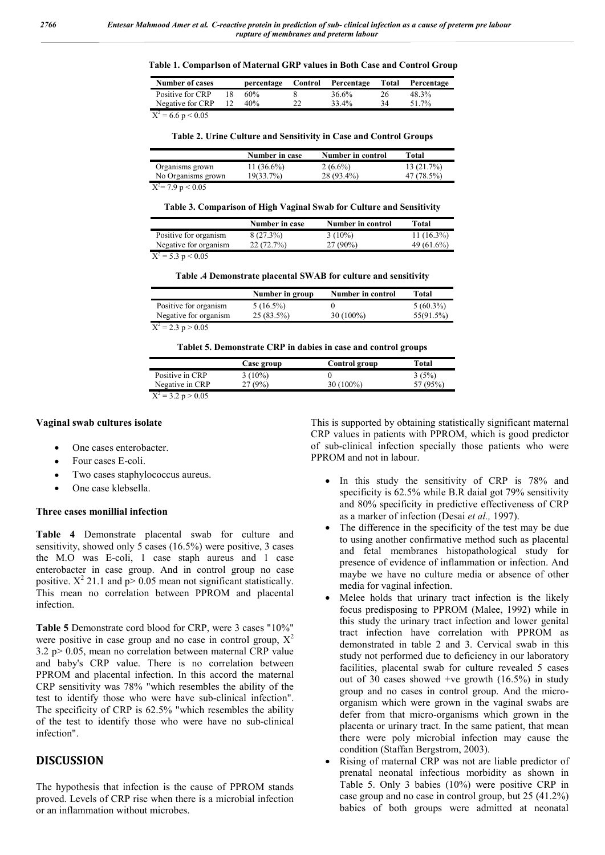| Table 1. Comparlson of Maternal GRP values in Both Case and Control Group |  |
|---------------------------------------------------------------------------|--|
|---------------------------------------------------------------------------|--|

| <b>Number of cases</b> |                 | percentage | Control | Percentage | Total | Percentage |
|------------------------|-----------------|------------|---------|------------|-------|------------|
| Positive for CRP       |                 | 60%        |         | 36.6%      | 26    | 48.3%      |
| Negative for CRP       | 12 <sub>1</sub> | 40%        | 22      | 33.4%      | 34    | 51.7%      |
| $- -$<br>. .<br>- - -  |                 |            |         |            |       |            |

 $X^2$  = 6.6 p < 0.05

**Table 2. Urine Culture and Sensitivity in Case and Control Groups**

|                                 | Number in case | Number in control | Total      |
|---------------------------------|----------------|-------------------|------------|
| Organisms grown                 | 11 $(36.6\%)$  | $2(6.6\%)$        | 13(21.7%)  |
| No Organisms grown              | 19(33.7%)      | 28 (93.4%)        | 47 (78.5%) |
| $\overline{X^2}$ = 7.9 p < 0.05 |                |                   |            |

**Table 3. Comparison of High Vaginal Swab for Culture and Sensitivity**

|                                               | Number in case | Number in control | Total         |
|-----------------------------------------------|----------------|-------------------|---------------|
| Positive for organism                         | 8 (27.3%)      | $3(10\%)$         | $11(16.3\%)$  |
| Negative for organism                         | 22(72.7%)      | $27(90\%)$        | 49 $(61.6\%)$ |
| $\mathbf{v}^2$ $\epsilon$ $\alpha$ $\epsilon$ |                |                   |               |

 $X^2 = 5.3$  p < 0.05

**Table .4 Demonstrate placental SWAB for culture and sensitivity**

|                                 | Number in group | <b>Number in control</b> | Total       |
|---------------------------------|-----------------|--------------------------|-------------|
| Positive for organism           | $5(16.5\%)$     |                          | $5(60.3\%)$ |
| Negative for organism           | 25 (83.5%)      | 30 (100%)                | 55(91.5%)   |
| $\mathbf{v}^2$ and $\mathbf{v}$ |                 |                          |             |

 $\overline{X^2}$  = 2.3 p > 0.05

**Tablet 5. Demonstrate CRP in dabies in case and control groups**

|                 | Case group | Control group | Total    |
|-----------------|------------|---------------|----------|
| Positive in CRP | $3(10\%)$  |               | 3(5%)    |
| Negative in CRP | 27 (9%)    | 30 (100%)     | 57 (95%) |
| $-22.5 - 0.05$  |            |               |          |

 $X^2 = 3.2$  p  $> 0.05$ 

#### **Vaginal swab cultures isolate**

- One cases enterobacter.
- Four cases E-coli.
- Two cases staphylococcus aureus.
- One case klebsella.

#### **Three cases monillial infection**

**Table 4** Demonstrate placental swab for culture and sensitivity, showed only 5 cases (16.5%) were positive, 3 cases the M.O was E-coli, 1 case staph aureus and 1 case enterobacter in case group. And in control group no case positive.  $X^2$  21.1 and p> 0.05 mean not significant statistically. This mean no correlation between PPROM and placental infection.

**Table 5** Demonstrate cord blood for CRP, were 3 cases "10%" were positive in case group and no case in control group,  $X^2$  $3.2$  p $> 0.05$ , mean no correlation between maternal CRP value and baby's CRP value. There is no correlation between PPROM and placental infection. In this accord the maternal CRP sensitivity was 78% "which resembles the ability of the test to identify those who were have sub-clinical infection". The specificity of CRP is 62.5% "which resembles the ability of the test to identify those who were have no sub-clinical infection".

## **DISCUSSION**

The hypothesis that infection is the cause of PPROM stands proved. Levels of CRP rise when there is a microbial infection or an inflammation without microbes.

This is supported by obtaining statistically significant maternal CRP values in patients with PPROM, which is good predictor of sub-clinical infection specially those patients who were PPROM and not in labour.

- In this study the sensitivity of CRP is 78% and specificity is 62.5% while B.R daial got 79% sensitivity and 80% specificity in predictive effectiveness of CRP as a marker of infection (Desai *et al.,* 1997).
- The difference in the specificity of the test may be due to using another confirmative method such as placental and fetal membranes histopathological study for presence of evidence of inflammation or infection. And maybe we have no culture media or absence of other media for vaginal infection.
- Melee holds that urinary tract infection is the likely focus predisposing to PPROM (Malee, 1992) while in this study the urinary tract infection and lower genital tract infection have correlation with PPROM as demonstrated in table 2 and 3. Cervical swab in this study not performed due to deficiency in our laboratory facilities, placental swab for culture revealed 5 cases out of 30 cases showed +ve growth (16.5%) in study group and no cases in control group. And the microorganism which were grown in the vaginal swabs are defer from that micro-organisms which grown in the placenta or urinary tract. In the same patient, that mean there were poly microbial infection may cause the condition (Staffan Bergstrom, 2003).
- Rising of maternal CRP was not are liable predictor of prenatal neonatal infectious morbidity as shown in Table 5. Only 3 babies (10%) were positive CRP in case group and no case in control group, but 25 (41.2%) babies of both groups were admitted at neonatal